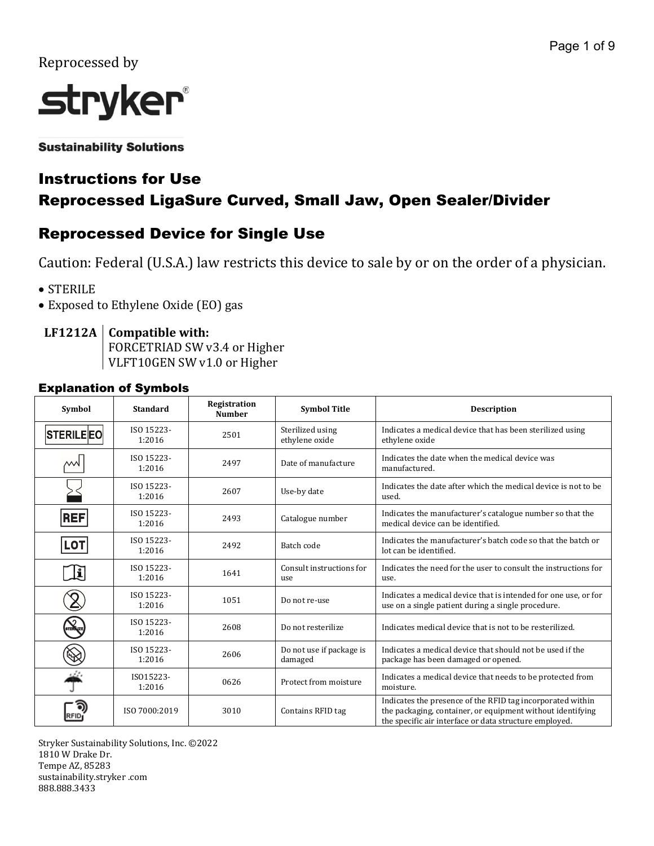## Reprocessed by



**Sustainability Solutions** 

# Instructions for Use

## Reprocessed LigaSure Curved, Small Jaw, Open Sealer/Divider

## Reprocessed Device for Single Use

Caution: Federal (U.S.A.) law restricts this device to sale by or on the order of a physician.

- STERILE
- Exposed to Ethylene Oxide (EO) gas

## **LF1212A Compatible with:**

FORCETRIAD SW v3.4 or Higher VLFT10GEN SW v1.0 or Higher

### Explanation of Symbols

| <b>Symbol</b>    | <b>Standard</b>      | Registration<br><b>Number</b> | <b>Symbol Title</b>                 | <b>Description</b>                                                                                                                                                                 |
|------------------|----------------------|-------------------------------|-------------------------------------|------------------------------------------------------------------------------------------------------------------------------------------------------------------------------------|
| <b>STERILEEO</b> | ISO 15223-<br>1:2016 | 2501                          | Sterilized using<br>ethylene oxide  | Indicates a medical device that has been sterilized using<br>ethylene oxide                                                                                                        |
| '                | ISO 15223-<br>1:2016 | 2497                          | Date of manufacture                 | Indicates the date when the medical device was<br>manufactured.                                                                                                                    |
|                  | ISO 15223-<br>1:2016 | 2607                          | Use-by date                         | Indicates the date after which the medical device is not to be<br>used.                                                                                                            |
| <b>REF</b>       | ISO 15223-<br>1:2016 | 2493                          | Catalogue number                    | Indicates the manufacturer's catalogue number so that the<br>medical device can be identified.                                                                                     |
| <b>LOT</b>       | ISO 15223-<br>1:2016 | 2492                          | Batch code                          | Indicates the manufacturer's batch code so that the batch or<br>lot can be identified.                                                                                             |
| Ŀ                | ISO 15223-<br>1:2016 | 1641                          | Consult instructions for<br>use     | Indicates the need for the user to consult the instructions for<br>use.                                                                                                            |
|                  | ISO 15223-<br>1:2016 | 1051                          | Do not re-use                       | Indicates a medical device that is intended for one use, or for<br>use on a single patient during a single procedure.                                                              |
| <b>STERE VZE</b> | ISO 15223-<br>1:2016 | 2608                          | Do not resterilize                  | Indicates medical device that is not to be resterilized.                                                                                                                           |
|                  | ISO 15223-<br>1:2016 | 2606                          | Do not use if package is<br>damaged | Indicates a medical device that should not be used if the<br>package has been damaged or opened.                                                                                   |
|                  | ISO15223-<br>1:2016  | 0626                          | Protect from moisture               | Indicates a medical device that needs to be protected from<br>moisture.                                                                                                            |
| RFID             | ISO 7000:2019        | 3010                          | Contains RFID tag                   | Indicates the presence of the RFID tag incorporated within<br>the packaging, container, or equipment without identifying<br>the specific air interface or data structure employed. |

Stryker Sustainability Solutions, Inc. ©2022 1810 W Drake Dr. Tempe AZ, 85283 sustainability.stryker .com 888.888.3433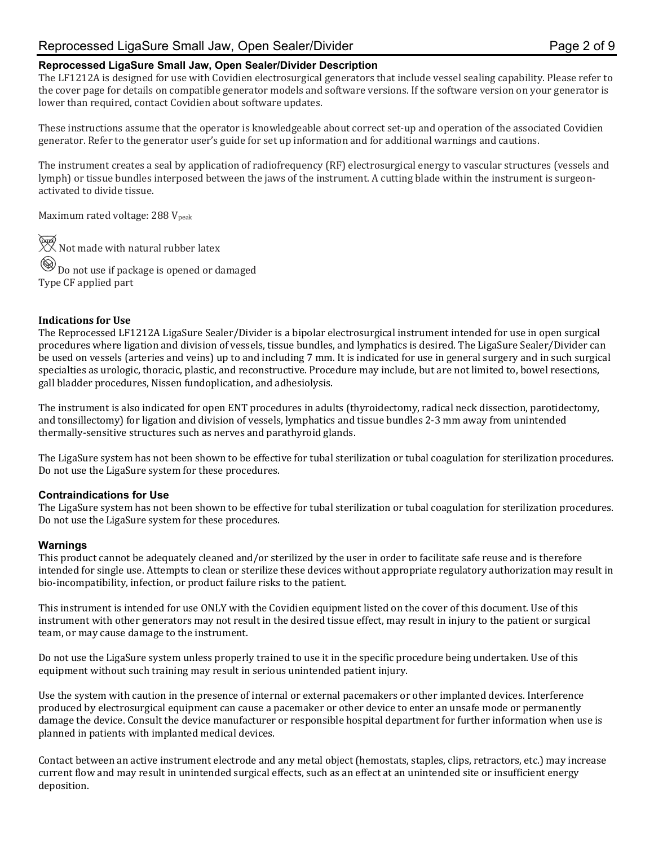## Reprocessed LigaSure Small Jaw, Open Sealer/Divider Page 2 of 9

#### **Reprocessed LigaSure Small Jaw, Open Sealer/Divider Description**

The LF1212A is designed for use with Covidien electrosurgical generators that include vessel sealing capability. Please refer to the cover page for details on compatible generator models and software versions. If the software version on your generator is lower than required, contact Covidien about software updates.

These instructions assume that the operator is knowledgeable about correct set-up and operation of the associated Covidien generator. Refer to the generator user's guide for set up information and for additional warnings and cautions.

The instrument creates a seal by application of radiofrequency (RF) electrosurgical energy to vascular structures (vessels and lymph) or tissue bundles interposed between the jaws of the instrument. A cutting blade within the instrument is surgeonactivated to divide tissue.

Maximum rated voltage: 288 V<sub>peak</sub>

 $\overline{\mathcal{X}}$  Not made with natural rubber latex  $\circledR_{\mathbf{Do}}$  not use if package is opened or damaged Type CF applied part

#### **Indications for Use**

The Reprocessed LF1212A LigaSure Sealer/Divider is a bipolar electrosurgical instrument intended for use in open surgical procedures where ligation and division of vessels, tissue bundles, and lymphatics is desired. The LigaSure Sealer/Divider can be used on vessels (arteries and veins) up to and including 7 mm. It is indicated for use in general surgery and in such surgical specialties as urologic, thoracic, plastic, and reconstructive. Procedure may include, but are not limited to, bowel resections, gall bladder procedures, Nissen fundoplication, and adhesiolysis.

The instrument is also indicated for open ENT procedures in adults (thyroidectomy, radical neck dissection, parotidectomy, and tonsillectomy) for ligation and division of vessels, lymphatics and tissue bundles 2-3 mm away from unintended thermally-sensitive structures such as nerves and parathyroid glands.

The LigaSure system has not been shown to be effective for tubal sterilization or tubal coagulation for sterilization procedures. Do not use the LigaSure system for these procedures.

#### **Contraindications for Use**

The LigaSure system has not been shown to be effective for tubal sterilization or tubal coagulation for sterilization procedures. Do not use the LigaSure system for these procedures.

#### **Warnings**

This product cannot be adequately cleaned and/or sterilized by the user in order to facilitate safe reuse and is therefore intended for single use. Attempts to clean or sterilize these devices without appropriate regulatory authorization may result in bio-incompatibility, infection, or product failure risks to the patient.

This instrument is intended for use ONLY with the Covidien equipment listed on the cover of this document. Use of this instrument with other generators may not result in the desired tissue effect, may result in injury to the patient or surgical team, or may cause damage to the instrument.

Do not use the LigaSure system unless properly trained to use it in the specific procedure being undertaken. Use of this equipment without such training may result in serious unintended patient injury.

Use the system with caution in the presence of internal or external pacemakers or other implanted devices. Interference produced by electrosurgical equipment can cause a pacemaker or other device to enter an unsafe mode or permanently damage the device. Consult the device manufacturer or responsible hospital department for further information when use is planned in patients with implanted medical devices.

Contact between an active instrument electrode and any metal object (hemostats, staples, clips, retractors, etc.) may increase current flow and may result in unintended surgical effects, such as an effect at an unintended site or insufficient energy deposition.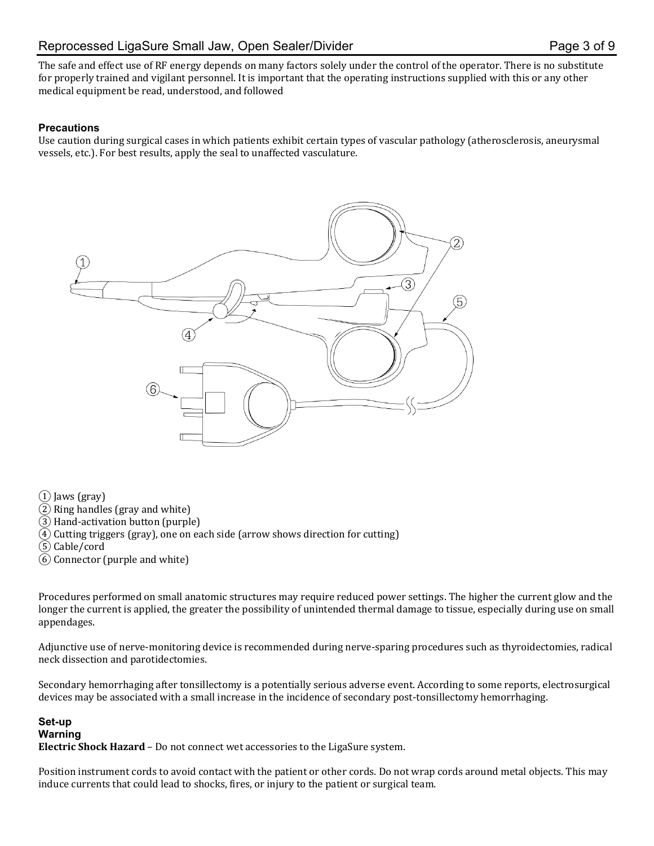The safe and effect use of RF energy depends on many factors solely under the control of the operator. There is no substitute for properly trained and vigilant personnel. It is important that the operating instructions supplied with this or any other medical equipment be read, understood, and followed

### **Precautions**

Use caution during surgical cases in which patients exhibit certain types of vascular pathology (atherosclerosis, aneurysmal vessels, etc.). For best results, apply the seal to unaffected vasculature.



 $(1)$  Jaws (gray)

- ② Ring handles (gray and white)
- ③ Hand-activation button (purple)
- $\overline{4}$ ) Cutting triggers (gray), one on each side (arrow shows direction for cutting)
- ⑤ Cable/cord
- ⑥ Connector (purple and white)

Procedures performed on small anatomic structures may require reduced power settings. The higher the current glow and the longer the current is applied, the greater the possibility of unintended thermal damage to tissue, especially during use on small appendages.

Adjunctive use of nerve-monitoring device is recommended during nerve-sparing procedures such as thyroidectomies, radical neck dissection and parotidectomies.

Secondary hemorrhaging after tonsillectomy is a potentially serious adverse event. According to some reports, electrosurgical devices may be associated with a small increase in the incidence of secondary post-tonsillectomy hemorrhaging.

## **Set-up Warning**

**Electric Shock Hazard** – Do not connect wet accessories to the LigaSure system.

Position instrument cords to avoid contact with the patient or other cords. Do not wrap cords around metal objects. This may induce currents that could lead to shocks, fires, or injury to the patient or surgical team.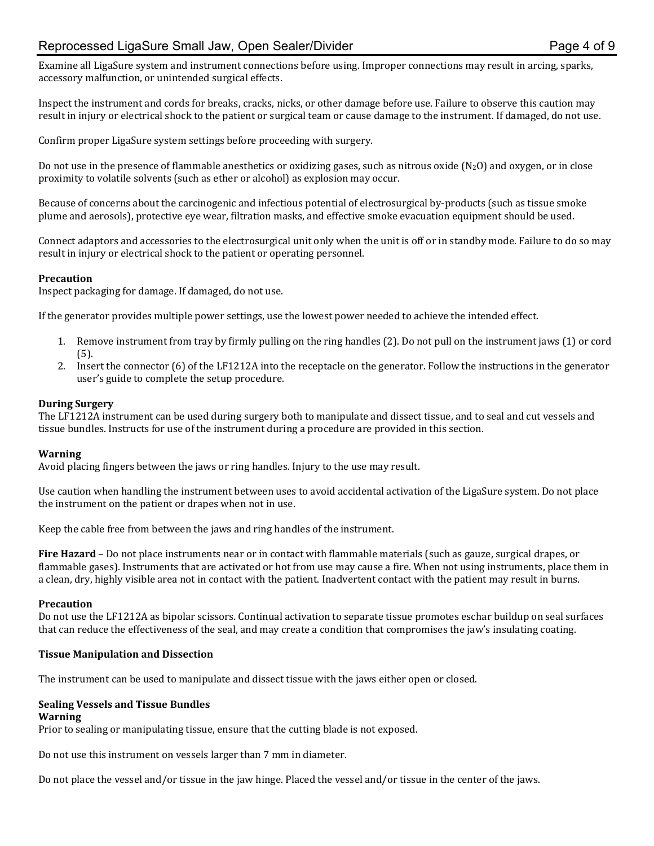## Reprocessed LigaSure Small Jaw, Open Sealer/Divider **Page 4 of 9** Page 4 of 9

Examine all LigaSure system and instrument connections before using. Improper connections may result in arcing, sparks, accessory malfunction, or unintended surgical effects.

Inspect the instrument and cords for breaks, cracks, nicks, or other damage before use. Failure to observe this caution may result in injury or electrical shock to the patient or surgical team or cause damage to the instrument. If damaged, do not use.

Confirm proper LigaSure system settings before proceeding with surgery.

Do not use in the presence of flammable anesthetics or oxidizing gases, such as nitrous oxide (N2O) and oxygen, or in close proximity to volatile solvents (such as ether or alcohol) as explosion may occur.

Because of concerns about the carcinogenic and infectious potential of electrosurgical by-products (such as tissue smoke plume and aerosols), protective eye wear, filtration masks, and effective smoke evacuation equipment should be used.

Connect adaptors and accessories to the electrosurgical unit only when the unit is off or in standby mode. Failure to do so may result in injury or electrical shock to the patient or operating personnel.

#### **Precaution**

Inspect packaging for damage. If damaged, do not use.

If the generator provides multiple power settings, use the lowest power needed to achieve the intended effect.

- 1. Remove instrument from tray by firmly pulling on the ring handles (2). Do not pull on the instrument jaws (1) or cord (5).
- 2. Insert the connector (6) of the LF1212A into the receptacle on the generator. Follow the instructions in the generator user's guide to complete the setup procedure.

#### **During Surgery**

The LF1212A instrument can be used during surgery both to manipulate and dissect tissue, and to seal and cut vessels and tissue bundles. Instructs for use of the instrument during a procedure are provided in this section.

#### **Warning**

Avoid placing fingers between the jaws or ring handles. Injury to the use may result.

Use caution when handling the instrument between uses to avoid accidental activation of the LigaSure system. Do not place the instrument on the patient or drapes when not in use.

Keep the cable free from between the jaws and ring handles of the instrument.

**Fire Hazard** – Do not place instruments near or in contact with flammable materials (such as gauze, surgical drapes, or flammable gases). Instruments that are activated or hot from use may cause a fire. When not using instruments, place them in a clean, dry, highly visible area not in contact with the patient. Inadvertent contact with the patient may result in burns.

#### **Precaution**

Do not use the LF1212A as bipolar scissors. Continual activation to separate tissue promotes eschar buildup on seal surfaces that can reduce the effectiveness of the seal, and may create a condition that compromises the jaw's insulating coating.

#### **Tissue Manipulation and Dissection**

The instrument can be used to manipulate and dissect tissue with the jaws either open or closed.

#### **Sealing Vessels and Tissue Bundles**

**Warning**

Prior to sealing or manipulating tissue, ensure that the cutting blade is not exposed.

Do not use this instrument on vessels larger than 7 mm in diameter.

Do not place the vessel and/or tissue in the jaw hinge. Placed the vessel and/or tissue in the center of the jaws.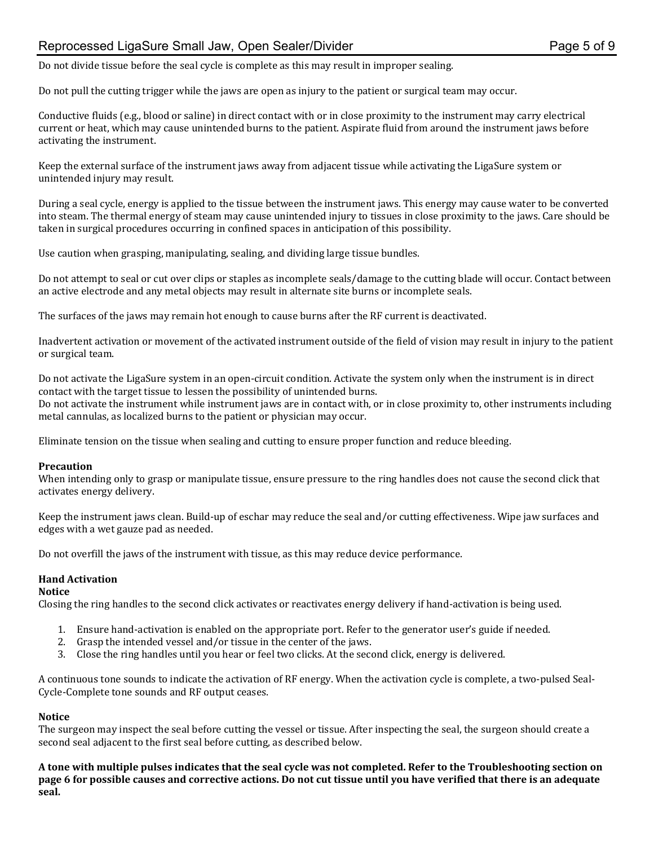## Reprocessed LigaSure Small Jaw, Open Sealer/Divider **Page 1 and Sealer Page 5 of 9** and Page 5 of 9

Do not divide tissue before the seal cycle is complete as this may result in improper sealing.

Do not pull the cutting trigger while the jaws are open as injury to the patient or surgical team may occur.

Conductive fluids (e.g., blood or saline) in direct contact with or in close proximity to the instrument may carry electrical current or heat, which may cause unintended burns to the patient. Aspirate fluid from around the instrument jaws before activating the instrument.

Keep the external surface of the instrument jaws away from adjacent tissue while activating the LigaSure system or unintended injury may result.

During a seal cycle, energy is applied to the tissue between the instrument jaws. This energy may cause water to be converted into steam. The thermal energy of steam may cause unintended injury to tissues in close proximity to the jaws. Care should be taken in surgical procedures occurring in confined spaces in anticipation of this possibility.

Use caution when grasping, manipulating, sealing, and dividing large tissue bundles.

Do not attempt to seal or cut over clips or staples as incomplete seals/damage to the cutting blade will occur. Contact between an active electrode and any metal objects may result in alternate site burns or incomplete seals.

The surfaces of the jaws may remain hot enough to cause burns after the RF current is deactivated.

Inadvertent activation or movement of the activated instrument outside of the field of vision may result in injury to the patient or surgical team.

Do not activate the LigaSure system in an open-circuit condition. Activate the system only when the instrument is in direct contact with the target tissue to lessen the possibility of unintended burns.

Do not activate the instrument while instrument jaws are in contact with, or in close proximity to, other instruments including metal cannulas, as localized burns to the patient or physician may occur.

Eliminate tension on the tissue when sealing and cutting to ensure proper function and reduce bleeding.

#### **Precaution**

When intending only to grasp or manipulate tissue, ensure pressure to the ring handles does not cause the second click that activates energy delivery.

Keep the instrument jaws clean. Build-up of eschar may reduce the seal and/or cutting effectiveness. Wipe jaw surfaces and edges with a wet gauze pad as needed.

Do not overfill the jaws of the instrument with tissue, as this may reduce device performance.

#### **Hand Activation**

#### **Notice**

Closing the ring handles to the second click activates or reactivates energy delivery if hand-activation is being used.

- 1. Ensure hand-activation is enabled on the appropriate port. Refer to the generator user's guide if needed.
- 2. Grasp the intended vessel and/or tissue in the center of the jaws.
- 3. Close the ring handles until you hear or feel two clicks. At the second click, energy is delivered.

A continuous tone sounds to indicate the activation of RF energy. When the activation cycle is complete, a two-pulsed Seal-Cycle-Complete tone sounds and RF output ceases.

#### **Notice**

The surgeon may inspect the seal before cutting the vessel or tissue. After inspecting the seal, the surgeon should create a second seal adjacent to the first seal before cutting, as described below.

**A tone with multiple pulses indicates that the seal cycle was not completed. Refer to the Troubleshooting section on page 6 for possible causes and corrective actions. Do not cut tissue until you have verified that there is an adequate seal.**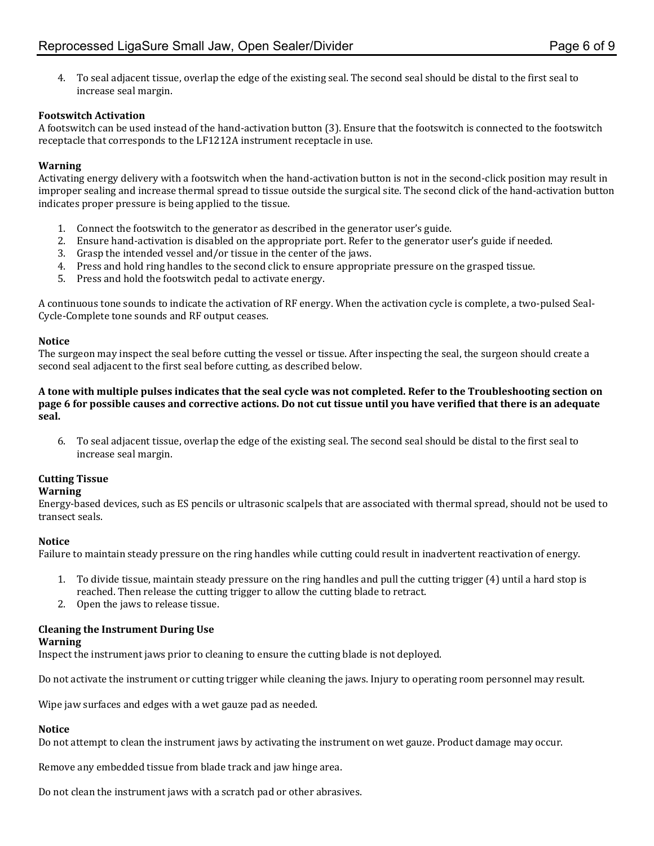4. To seal adjacent tissue, overlap the edge of the existing seal. The second seal should be distal to the first seal to increase seal margin.

#### **Footswitch Activation**

A footswitch can be used instead of the hand-activation button (3). Ensure that the footswitch is connected to the footswitch receptacle that corresponds to the LF1212A instrument receptacle in use.

#### **Warning**

Activating energy delivery with a footswitch when the hand-activation button is not in the second-click position may result in improper sealing and increase thermal spread to tissue outside the surgical site. The second click of the hand-activation button indicates proper pressure is being applied to the tissue.

- 1. Connect the footswitch to the generator as described in the generator user's guide.
- 2. Ensure hand-activation is disabled on the appropriate port. Refer to the generator user's guide if needed.
- 3. Grasp the intended vessel and/or tissue in the center of the jaws.
- 4. Press and hold ring handles to the second click to ensure appropriate pressure on the grasped tissue.
- 5. Press and hold the footswitch pedal to activate energy.

A continuous tone sounds to indicate the activation of RF energy. When the activation cycle is complete, a two-pulsed Seal-Cycle-Complete tone sounds and RF output ceases.

#### **Notice**

The surgeon may inspect the seal before cutting the vessel or tissue. After inspecting the seal, the surgeon should create a second seal adjacent to the first seal before cutting, as described below.

**A tone with multiple pulses indicates that the seal cycle was not completed. Refer to the Troubleshooting section on page 6 for possible causes and corrective actions. Do not cut tissue until you have verified that there is an adequate seal.**

6. To seal adjacent tissue, overlap the edge of the existing seal. The second seal should be distal to the first seal to increase seal margin.

#### **Cutting Tissue**

#### **Warning**

Energy-based devices, such as ES pencils or ultrasonic scalpels that are associated with thermal spread, should not be used to transect seals.

#### **Notice**

Failure to maintain steady pressure on the ring handles while cutting could result in inadvertent reactivation of energy.

- 1. To divide tissue, maintain steady pressure on the ring handles and pull the cutting trigger (4) until a hard stop is reached. Then release the cutting trigger to allow the cutting blade to retract.
- 2. Open the jaws to release tissue.

### **Cleaning the Instrument During Use**

#### **Warning**

Inspect the instrument jaws prior to cleaning to ensure the cutting blade is not deployed.

Do not activate the instrument or cutting trigger while cleaning the jaws. Injury to operating room personnel may result.

Wipe jaw surfaces and edges with a wet gauze pad as needed.

### **Notice**

Do not attempt to clean the instrument jaws by activating the instrument on wet gauze. Product damage may occur.

Remove any embedded tissue from blade track and jaw hinge area.

Do not clean the instrument jaws with a scratch pad or other abrasives.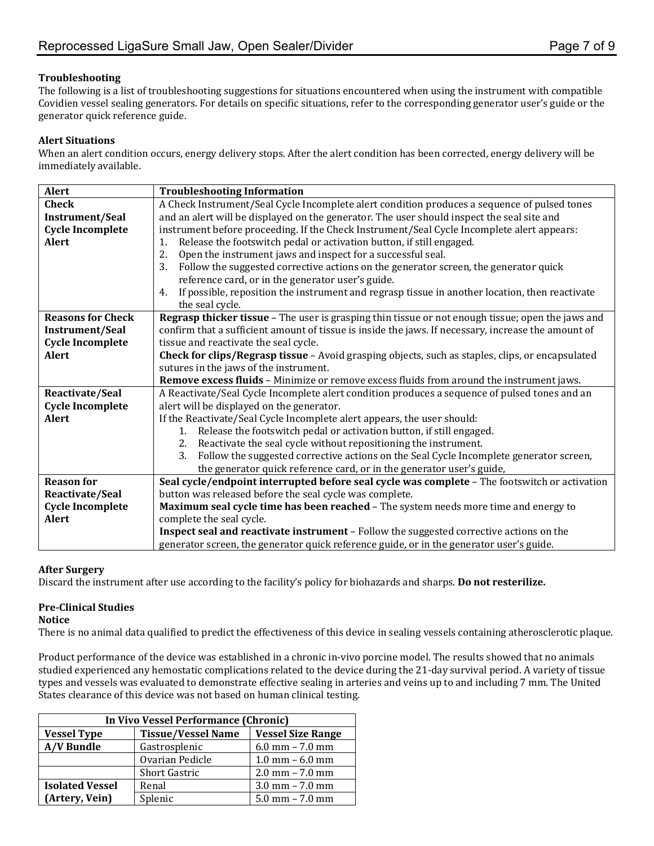#### **Troubleshooting**

The following is a list of troubleshooting suggestions for situations encountered when using the instrument with compatible Covidien vessel sealing generators. For details on specific situations, refer to the corresponding generator user's guide or the generator quick reference guide.

#### **Alert Situations**

When an alert condition occurs, energy delivery stops. After the alert condition has been corrected, energy delivery will be immediately available.

| Alert                    | <b>Troubleshooting Information</b>                                                                   |  |  |
|--------------------------|------------------------------------------------------------------------------------------------------|--|--|
| <b>Check</b>             | A Check Instrument/Seal Cycle Incomplete alert condition produces a sequence of pulsed tones         |  |  |
| <b>Instrument/Seal</b>   | and an alert will be displayed on the generator. The user should inspect the seal site and           |  |  |
| <b>Cycle Incomplete</b>  | instrument before proceeding. If the Check Instrument/Seal Cycle Incomplete alert appears:           |  |  |
| <b>Alert</b>             | Release the footswitch pedal or activation button, if still engaged.<br>1.                           |  |  |
|                          | 2.<br>Open the instrument jaws and inspect for a successful seal.                                    |  |  |
|                          | Follow the suggested corrective actions on the generator screen, the generator quick<br>3.           |  |  |
|                          | reference card, or in the generator user's guide.                                                    |  |  |
|                          | If possible, reposition the instrument and regrasp tissue in another location, then reactivate<br>4. |  |  |
|                          | the seal cycle.                                                                                      |  |  |
| <b>Reasons for Check</b> | Regrasp thicker tissue - The user is grasping thin tissue or not enough tissue; open the jaws and    |  |  |
| <b>Instrument/Seal</b>   | confirm that a sufficient amount of tissue is inside the jaws. If necessary, increase the amount of  |  |  |
| <b>Cycle Incomplete</b>  | tissue and reactivate the seal cycle.                                                                |  |  |
| <b>Alert</b>             | Check for clips/Regrasp tissue - Avoid grasping objects, such as staples, clips, or encapsulated     |  |  |
|                          | sutures in the jaws of the instrument.                                                               |  |  |
|                          | Remove excess fluids - Minimize or remove excess fluids from around the instrument jaws.             |  |  |
| Reactivate/Seal          | A Reactivate/Seal Cycle Incomplete alert condition produces a sequence of pulsed tones and an        |  |  |
| <b>Cycle Incomplete</b>  | alert will be displayed on the generator.                                                            |  |  |
| <b>Alert</b>             | If the Reactivate/Seal Cycle Incomplete alert appears, the user should:                              |  |  |
|                          | Release the footswitch pedal or activation button, if still engaged.<br>1.                           |  |  |
|                          | Reactivate the seal cycle without repositioning the instrument.<br>2.                                |  |  |
|                          | 3.<br>Follow the suggested corrective actions on the Seal Cycle Incomplete generator screen,         |  |  |
|                          | the generator quick reference card, or in the generator user's guide,                                |  |  |
| <b>Reason for</b>        | Seal cycle/endpoint interrupted before seal cycle was complete - The footswitch or activation        |  |  |
| Reactivate/Seal          | button was released before the seal cycle was complete.                                              |  |  |
| <b>Cycle Incomplete</b>  | Maximum seal cycle time has been reached - The system needs more time and energy to                  |  |  |
| <b>Alert</b>             | complete the seal cycle.                                                                             |  |  |
|                          | Inspect seal and reactivate instrument - Follow the suggested corrective actions on the              |  |  |
|                          | generator screen, the generator quick reference guide, or in the generator user's guide.             |  |  |

#### **After Surgery**

Discard the instrument after use according to the facility's policy for biohazards and sharps. **Do not resterilize.**

#### **Pre-Clinical Studies**

#### **Notice**

There is no animal data qualified to predict the effectiveness of this device in sealing vessels containing atherosclerotic plaque.

Product performance of the device was established in a chronic in-vivo porcine model. The results showed that no animals studied experienced any hemostatic complications related to the device during the 21-day survival period. A variety of tissue types and vessels was evaluated to demonstrate effective sealing in arteries and veins up to and including 7 mm. The United States clearance of this device was not based on human clinical testing.

| In Vivo Vessel Performance (Chronic) |                           |                          |  |  |  |
|--------------------------------------|---------------------------|--------------------------|--|--|--|
| <b>Vessel Type</b>                   | <b>Tissue/Vessel Name</b> | <b>Vessel Size Range</b> |  |  |  |
| <b>A/V Bundle</b>                    | Gastrosplenic             | $6.0$ mm $- 7.0$ mm      |  |  |  |
|                                      | Ovarian Pedicle           | $1.0$ mm $-6.0$ mm       |  |  |  |
|                                      | <b>Short Gastric</b>      | $2.0$ mm $- 7.0$ mm      |  |  |  |
| <b>Isolated Vessel</b>               | Renal                     | $3.0$ mm $- 7.0$ mm      |  |  |  |
| (Artery, Vein)                       | Splenic                   | $5.0$ mm $- 7.0$ mm      |  |  |  |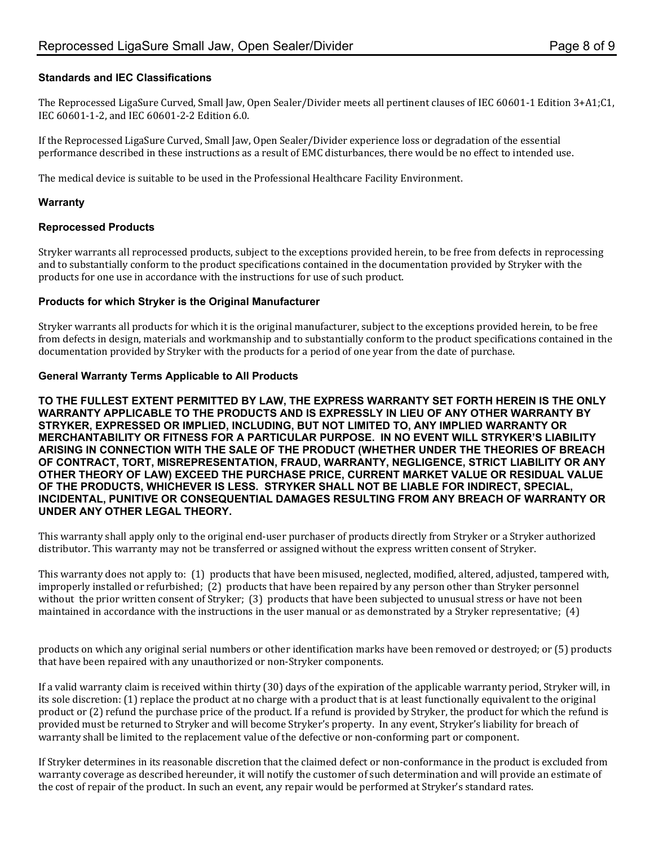#### **Standards and IEC Classifications**

The Reprocessed LigaSure Curved, Small Jaw, Open Sealer/Divider meets all pertinent clauses of IEC 60601-1 Edition 3+A1;C1, IEC 60601-1-2, and IEC 60601-2-2 Edition 6.0.

If the Reprocessed LigaSure Curved, Small Jaw, Open Sealer/Divider experience loss or degradation of the essential performance described in these instructions as a result of EMC disturbances, there would be no effect to intended use.

The medical device is suitable to be used in the Professional Healthcare Facility Environment.

#### **Warranty**

#### **Reprocessed Products**

Stryker warrants all reprocessed products, subject to the exceptions provided herein, to be free from defects in reprocessing and to substantially conform to the product specifications contained in the documentation provided by Stryker with the products for one use in accordance with the instructions for use of such product.

#### **Products for which Stryker is the Original Manufacturer**

Stryker warrants all products for which it is the original manufacturer, subject to the exceptions provided herein, to be free from defects in design, materials and workmanship and to substantially conform to the product specifications contained in the documentation provided by Stryker with the products for a period of one year from the date of purchase.

#### **General Warranty Terms Applicable to All Products**

**TO THE FULLEST EXTENT PERMITTED BY LAW, THE EXPRESS WARRANTY SET FORTH HEREIN IS THE ONLY WARRANTY APPLICABLE TO THE PRODUCTS AND IS EXPRESSLY IN LIEU OF ANY OTHER WARRANTY BY STRYKER, EXPRESSED OR IMPLIED, INCLUDING, BUT NOT LIMITED TO, ANY IMPLIED WARRANTY OR MERCHANTABILITY OR FITNESS FOR A PARTICULAR PURPOSE. IN NO EVENT WILL STRYKER'S LIABILITY ARISING IN CONNECTION WITH THE SALE OF THE PRODUCT (WHETHER UNDER THE THEORIES OF BREACH OF CONTRACT, TORT, MISREPRESENTATION, FRAUD, WARRANTY, NEGLIGENCE, STRICT LIABILITY OR ANY OTHER THEORY OF LAW) EXCEED THE PURCHASE PRICE, CURRENT MARKET VALUE OR RESIDUAL VALUE OF THE PRODUCTS, WHICHEVER IS LESS. STRYKER SHALL NOT BE LIABLE FOR INDIRECT, SPECIAL, INCIDENTAL, PUNITIVE OR CONSEQUENTIAL DAMAGES RESULTING FROM ANY BREACH OF WARRANTY OR UNDER ANY OTHER LEGAL THEORY.**

This warranty shall apply only to the original end-user purchaser of products directly from Stryker or a Stryker authorized distributor. This warranty may not be transferred or assigned without the express written consent of Stryker.

This warranty does not apply to: (1) products that have been misused, neglected, modified, altered, adjusted, tampered with, improperly installed or refurbished; (2) products that have been repaired by any person other than Stryker personnel without the prior written consent of Stryker; (3) products that have been subjected to unusual stress or have not been maintained in accordance with the instructions in the user manual or as demonstrated by a Stryker representative; (4)

products on which any original serial numbers or other identification marks have been removed or destroyed; or (5) products that have been repaired with any unauthorized or non-Stryker components.

If a valid warranty claim is received within thirty (30) days of the expiration of the applicable warranty period, Stryker will, in its sole discretion: (1) replace the product at no charge with a product that is at least functionally equivalent to the original product or (2) refund the purchase price of the product. If a refund is provided by Stryker, the product for which the refund is provided must be returned to Stryker and will become Stryker's property. In any event, Stryker's liability for breach of warranty shall be limited to the replacement value of the defective or non-conforming part or component.

If Stryker determines in its reasonable discretion that the claimed defect or non-conformance in the product is excluded from warranty coverage as described hereunder, it will notify the customer of such determination and will provide an estimate of the cost of repair of the product. In such an event, any repair would be performed at Stryker's standard rates.